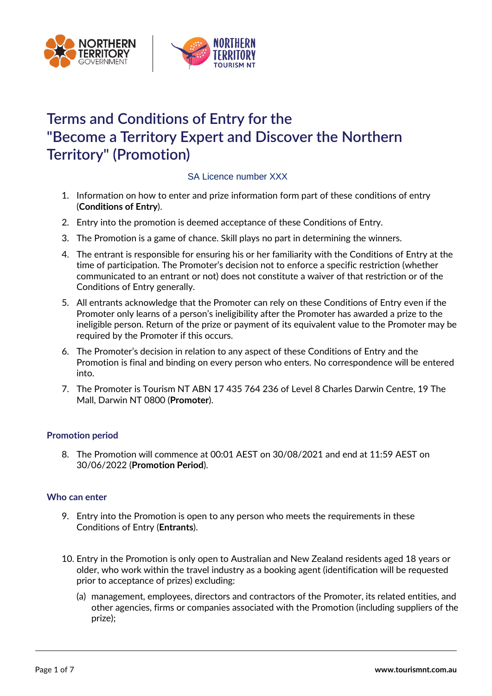



# **Terms and Conditions of Entry for the "Become a Territory Expert and Discover the Northern Territory" (Promotion)**

## SA Licence number XXX

- 1. Information on how to enter and prize information form part of these conditions of entry (**Conditions of Entry**).
- 2. Entry into the promotion is deemed acceptance of these Conditions of Entry.
- 3. The Promotion is a game of chance. Skill plays no part in determining the winners.
- 4. The entrant is responsible for ensuring his or her familiarity with the Conditions of Entry at the time of participation. The Promoter's decision not to enforce a specific restriction (whether communicated to an entrant or not) does not constitute a waiver of that restriction or of the Conditions of Entry generally.
- 5. All entrants acknowledge that the Promoter can rely on these Conditions of Entry even if the Promoter only learns of a person's ineligibility after the Promoter has awarded a prize to the ineligible person. Return of the prize or payment of its equivalent value to the Promoter may be required by the Promoter if this occurs.
- 6. The Promoter's decision in relation to any aspect of these Conditions of Entry and the Promotion is final and binding on every person who enters. No correspondence will be entered into.
- 7. The Promoter is Tourism NT ABN 17 435 764 236 of Level 8 Charles Darwin Centre, 19 The Mall, Darwin NT 0800 (**Promoter**).

## **Promotion period**

8. The Promotion will commence at 00:01 AEST on 30/08/2021 and end at 11:59 AEST on 30/06/2022 (**Promotion Period**).

## **Who can enter**

- 9. Entry into the Promotion is open to any person who meets the requirements in these Conditions of Entry (**Entrants**).
- 10. Entry in the Promotion is only open to Australian and New Zealand residents aged 18 years or older, who work within the travel industry as a booking agent (identification will be requested prior to acceptance of prizes) excluding:
	- (a) management, employees, directors and contractors of the Promoter, its related entities, and other agencies, firms or companies associated with the Promotion (including suppliers of the prize);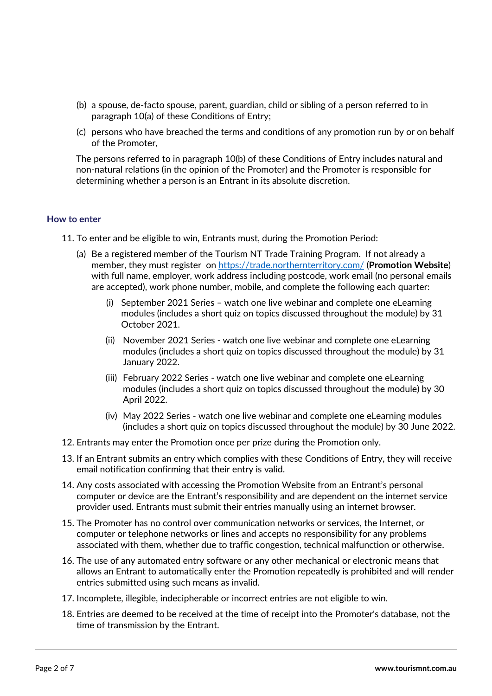- (b) a spouse, de-facto spouse, parent, guardian, child or sibling of a person referred to in paragraph 10(a) of these Conditions of Entry;
- (c) persons who have breached the terms and conditions of any promotion run by or on behalf of the Promoter,

The persons referred to in paragraph 10(b) of these Conditions of Entry includes natural and non-natural relations (in the opinion of the Promoter) and the Promoter is responsible for determining whether a person is an Entrant in its absolute discretion.

#### **How to enter**

- 11. To enter and be eligible to win, Entrants must, during the Promotion Period:
	- (a) Be a registered member of the Tourism NT Trade Training Program. If not already a member, they must register on<https://trade.northernterritory.com/> (**Promotion Website**) with full name, employer, work address including postcode, work email (no personal emails are accepted), work phone number, mobile, and complete the following each quarter:
		- (i) September 2021 Series watch one live webinar and complete one eLearning modules (includes a short quiz on topics discussed throughout the module) by 31 October 2021.
		- (ii) November 2021 Series watch one live webinar and complete one eLearning modules (includes a short quiz on topics discussed throughout the module) by 31 January 2022.
		- (iii) February 2022 Series watch one live webinar and complete one eLearning modules (includes a short quiz on topics discussed throughout the module) by 30 April 2022.
		- (iv) May 2022 Series watch one live webinar and complete one eLearning modules (includes a short quiz on topics discussed throughout the module) by 30 June 2022.
- 12. Entrants may enter the Promotion once per prize during the Promotion only.
- 13. If an Entrant submits an entry which complies with these Conditions of Entry, they will receive email notification confirming that their entry is valid.
- 14. Any costs associated with accessing the Promotion Website from an Entrant's personal computer or device are the Entrant's responsibility and are dependent on the internet service provider used. Entrants must submit their entries manually using an internet browser.
- 15. The Promoter has no control over communication networks or services, the Internet, or computer or telephone networks or lines and accepts no responsibility for any problems associated with them, whether due to traffic congestion, technical malfunction or otherwise.
- 16. The use of any automated entry software or any other mechanical or electronic means that allows an Entrant to automatically enter the Promotion repeatedly is prohibited and will render entries submitted using such means as invalid.
- 17. Incomplete, illegible, indecipherable or incorrect entries are not eligible to win.
- 18. Entries are deemed to be received at the time of receipt into the Promoter's database, not the time of transmission by the Entrant.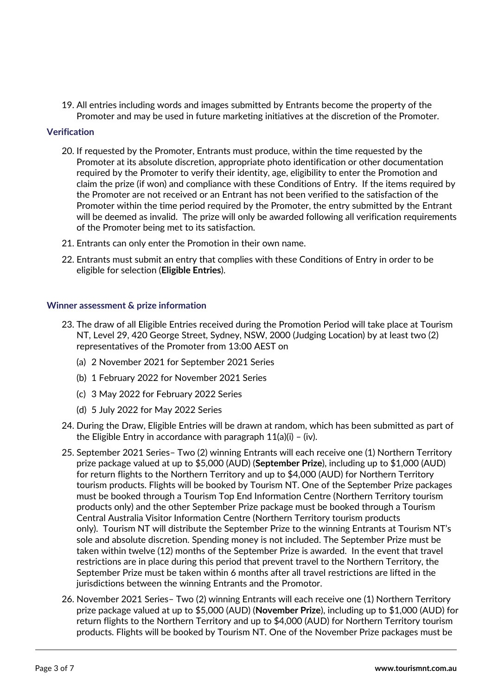19. All entries including words and images submitted by Entrants become the property of the Promoter and may be used in future marketing initiatives at the discretion of the Promoter.

#### **Verification**

- 20. If requested by the Promoter, Entrants must produce, within the time requested by the Promoter at its absolute discretion, appropriate photo identification or other documentation required by the Promoter to verify their identity, age, eligibility to enter the Promotion and claim the prize (if won) and compliance with these Conditions of Entry. If the items required by the Promoter are not received or an Entrant has not been verified to the satisfaction of the Promoter within the time period required by the Promoter, the entry submitted by the Entrant will be deemed as invalid. The prize will only be awarded following all verification requirements of the Promoter being met to its satisfaction.
- 21. Entrants can only enter the Promotion in their own name.
- 22. Entrants must submit an entry that complies with these Conditions of Entry in order to be eligible for selection (**Eligible Entries**).

#### **Winner assessment & prize information**

- 23. The draw of all Eligible Entries received during the Promotion Period will take place at Tourism NT, Level 29, 420 George Street, Sydney, NSW, 2000 (Judging Location) by at least two (2) representatives of the Promoter from 13:00 AEST on
	- (a) 2 November 2021 for September 2021 Series
	- (b) 1 February 2022 for November 2021 Series
	- (c) 3 May 2022 for February 2022 Series
	- (d) 5 July 2022 for May 2022 Series
- 24. During the Draw, Eligible Entries will be drawn at random, which has been submitted as part of the Eligible Entry in accordance with paragraph  $11(a)(i) - (iv)$ .
- 25. September 2021 Series– Two (2) winning Entrants will each receive one (1) Northern Territory prize package valued at up to \$5,000 (AUD) (**September Prize**), including up to \$1,000 (AUD) for return flights to the Northern Territory and up to \$4,000 (AUD) for Northern Territory tourism products. Flights will be booked by Tourism NT. One of the September Prize packages must be booked through a Tourism Top End Information Centre (Northern Territory tourism products only) and the other September Prize package must be booked through a Tourism Central Australia Visitor Information Centre (Northern Territory tourism products only). Tourism NT will distribute the September Prize to the winning Entrants at Tourism NT's sole and absolute discretion. Spending money is not included. The September Prize must be taken within twelve (12) months of the September Prize is awarded. In the event that travel restrictions are in place during this period that prevent travel to the Northern Territory, the September Prize must be taken within 6 months after all travel restrictions are lifted in the jurisdictions between the winning Entrants and the Promotor.
- 26. November 2021 Series– Two (2) winning Entrants will each receive one (1) Northern Territory prize package valued at up to \$5,000 (AUD) (**November Prize**), including up to \$1,000 (AUD) for return flights to the Northern Territory and up to \$4,000 (AUD) for Northern Territory tourism products. Flights will be booked by Tourism NT. One of the November Prize packages must be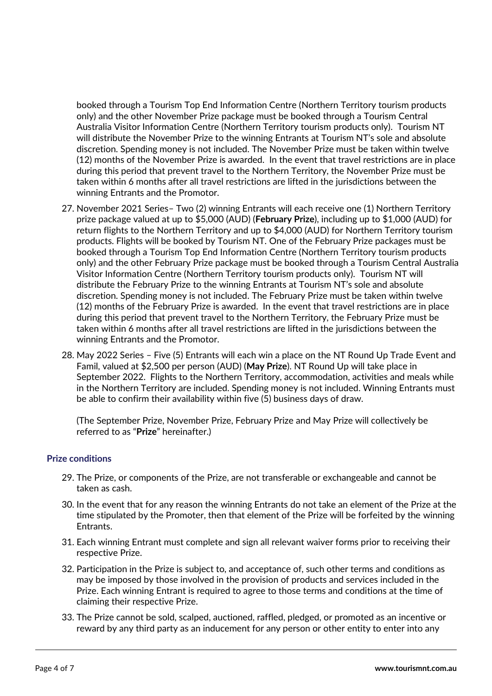booked through a Tourism Top End Information Centre (Northern Territory tourism products only) and the other November Prize package must be booked through a Tourism Central Australia Visitor Information Centre (Northern Territory tourism products only). Tourism NT will distribute the November Prize to the winning Entrants at Tourism NT's sole and absolute discretion. Spending money is not included. The November Prize must be taken within twelve (12) months of the November Prize is awarded. In the event that travel restrictions are in place during this period that prevent travel to the Northern Territory, the November Prize must be taken within 6 months after all travel restrictions are lifted in the jurisdictions between the winning Entrants and the Promotor.

- 27. November 2021 Series– Two (2) winning Entrants will each receive one (1) Northern Territory prize package valued at up to \$5,000 (AUD) (**February Prize**), including up to \$1,000 (AUD) for return flights to the Northern Territory and up to \$4,000 (AUD) for Northern Territory tourism products. Flights will be booked by Tourism NT. One of the February Prize packages must be booked through a Tourism Top End Information Centre (Northern Territory tourism products only) and the other February Prize package must be booked through a Tourism Central Australia Visitor Information Centre (Northern Territory tourism products only). Tourism NT will distribute the February Prize to the winning Entrants at Tourism NT's sole and absolute discretion. Spending money is not included. The February Prize must be taken within twelve (12) months of the February Prize is awarded. In the event that travel restrictions are in place during this period that prevent travel to the Northern Territory, the February Prize must be taken within 6 months after all travel restrictions are lifted in the jurisdictions between the winning Entrants and the Promotor.
- 28. May 2022 Series Five (5) Entrants will each win a place on the NT Round Up Trade Event and Famil, valued at \$2,500 per person (AUD) (**May Prize**). NT Round Up will take place in September 2022. Flights to the Northern Territory, accommodation, activities and meals while in the Northern Territory are included. Spending money is not included. Winning Entrants must be able to confirm their availability within five (5) business days of draw.

(The September Prize, November Prize, February Prize and May Prize will collectively be referred to as "**Prize**" hereinafter.)

## **Prize conditions**

- 29. The Prize, or components of the Prize, are not transferable or exchangeable and cannot be taken as cash.
- 30. In the event that for any reason the winning Entrants do not take an element of the Prize at the time stipulated by the Promoter, then that element of the Prize will be forfeited by the winning Entrants.
- 31. Each winning Entrant must complete and sign all relevant waiver forms prior to receiving their respective Prize.
- 32. Participation in the Prize is subject to, and acceptance of, such other terms and conditions as may be imposed by those involved in the provision of products and services included in the Prize. Each winning Entrant is required to agree to those terms and conditions at the time of claiming their respective Prize.
- 33. The Prize cannot be sold, scalped, auctioned, raffled, pledged, or promoted as an incentive or reward by any third party as an inducement for any person or other entity to enter into any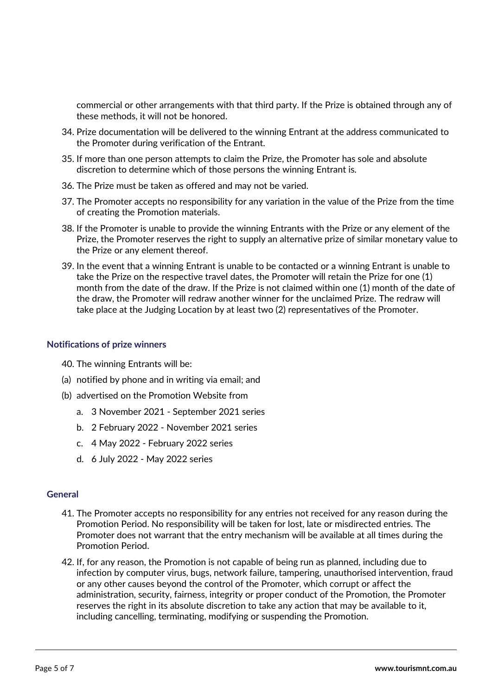commercial or other arrangements with that third party. If the Prize is obtained through any of these methods, it will not be honored.

- 34. Prize documentation will be delivered to the winning Entrant at the address communicated to the Promoter during verification of the Entrant.
- 35. If more than one person attempts to claim the Prize, the Promoter has sole and absolute discretion to determine which of those persons the winning Entrant is.
- 36. The Prize must be taken as offered and may not be varied.
- 37. The Promoter accepts no responsibility for any variation in the value of the Prize from the time of creating the Promotion materials.
- 38. If the Promoter is unable to provide the winning Entrants with the Prize or any element of the Prize, the Promoter reserves the right to supply an alternative prize of similar monetary value to the Prize or any element thereof.
- 39. In the event that a winning Entrant is unable to be contacted or a winning Entrant is unable to take the Prize on the respective travel dates, the Promoter will retain the Prize for one (1) month from the date of the draw. If the Prize is not claimed within one (1) month of the date of the draw, the Promoter will redraw another winner for the unclaimed Prize. The redraw will take place at the Judging Location by at least two (2) representatives of the Promoter.

#### **Notifications of prize winners**

- 40. The winning Entrants will be:
- (a) notified by phone and in writing via email; and
- (b) advertised on the Promotion Website from
	- a. 3 November 2021 September 2021 series
	- b. 2 February 2022 November 2021 series
	- c. 4 May 2022 February 2022 series
	- d. 6 July 2022 May 2022 series

#### **General**

- 41. The Promoter accepts no responsibility for any entries not received for any reason during the Promotion Period. No responsibility will be taken for lost, late or misdirected entries. The Promoter does not warrant that the entry mechanism will be available at all times during the Promotion Period.
- 42. If, for any reason, the Promotion is not capable of being run as planned, including due to infection by computer virus, bugs, network failure, tampering, unauthorised intervention, fraud or any other causes beyond the control of the Promoter, which corrupt or affect the administration, security, fairness, integrity or proper conduct of the Promotion, the Promoter reserves the right in its absolute discretion to take any action that may be available to it, including cancelling, terminating, modifying or suspending the Promotion.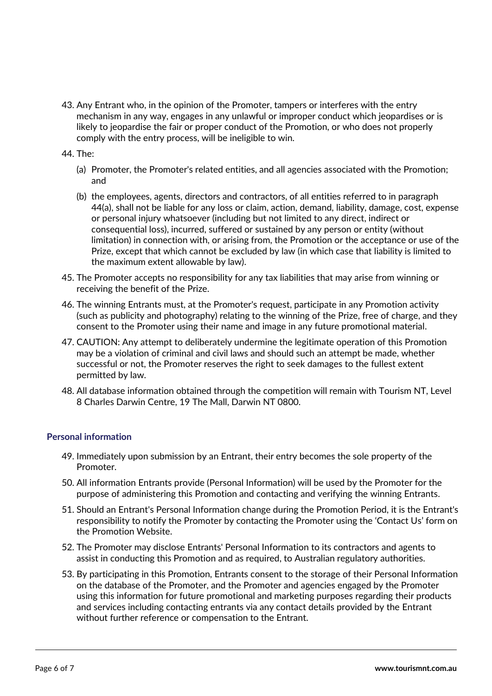43. Any Entrant who, in the opinion of the Promoter, tampers or interferes with the entry mechanism in any way, engages in any unlawful or improper conduct which jeopardises or is likely to jeopardise the fair or proper conduct of the Promotion, or who does not properly comply with the entry process, will be ineligible to win.

## 44. The:

- (a) Promoter, the Promoter's related entities, and all agencies associated with the Promotion; and
- (b) the employees, agents, directors and contractors, of all entities referred to in paragraph 44(a), shall not be liable for any loss or claim, action, demand, liability, damage, cost, expense or personal injury whatsoever (including but not limited to any direct, indirect or consequential loss), incurred, suffered or sustained by any person or entity (without limitation) in connection with, or arising from, the Promotion or the acceptance or use of the Prize, except that which cannot be excluded by law (in which case that liability is limited to the maximum extent allowable by law).
- 45. The Promoter accepts no responsibility for any tax liabilities that may arise from winning or receiving the benefit of the Prize.
- 46. The winning Entrants must, at the Promoter's request, participate in any Promotion activity (such as publicity and photography) relating to the winning of the Prize, free of charge, and they consent to the Promoter using their name and image in any future promotional material.
- 47. CAUTION: Any attempt to deliberately undermine the legitimate operation of this Promotion may be a violation of criminal and civil laws and should such an attempt be made, whether successful or not, the Promoter reserves the right to seek damages to the fullest extent permitted by law.
- 48. All database information obtained through the competition will remain with Tourism NT, Level 8 Charles Darwin Centre, 19 The Mall, Darwin NT 0800.

## **Personal information**

- 49. Immediately upon submission by an Entrant, their entry becomes the sole property of the Promoter.
- 50. All information Entrants provide (Personal Information) will be used by the Promoter for the purpose of administering this Promotion and contacting and verifying the winning Entrants.
- 51. Should an Entrant's Personal Information change during the Promotion Period, it is the Entrant's responsibility to notify the Promoter by contacting the Promoter using the 'Contact Us' form on the Promotion Website.
- 52. The Promoter may disclose Entrants' Personal Information to its contractors and agents to assist in conducting this Promotion and as required, to Australian regulatory authorities.
- 53. By participating in this Promotion, Entrants consent to the storage of their Personal Information on the database of the Promoter, and the Promoter and agencies engaged by the Promoter using this information for future promotional and marketing purposes regarding their products and services including contacting entrants via any contact details provided by the Entrant without further reference or compensation to the Entrant.